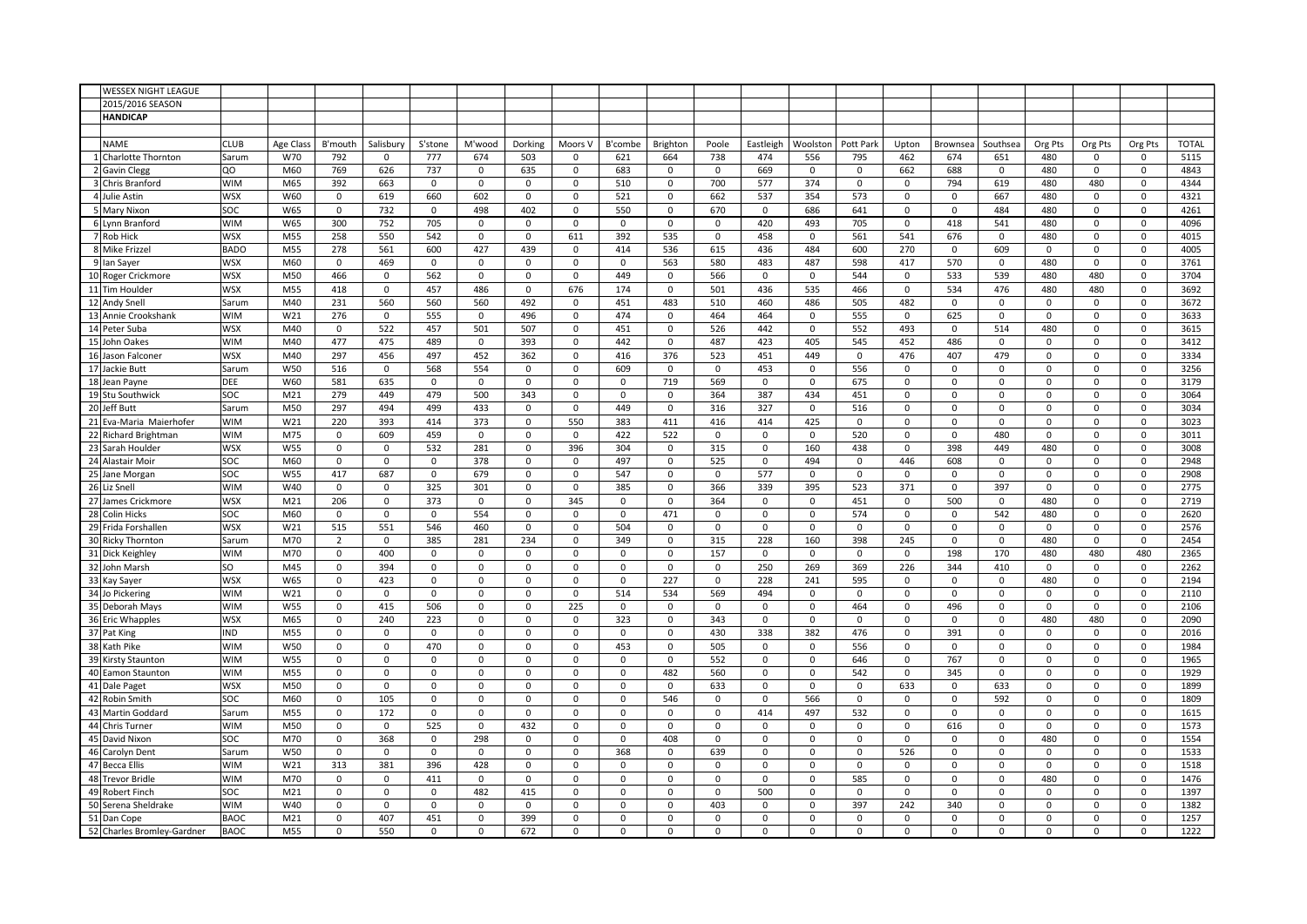| <b>WESSEX NIGHT LEAGUE</b> |             |            |                |              |             |             |              |             |             |             |             |              |          |              |              |             |              |             |             |             |              |
|----------------------------|-------------|------------|----------------|--------------|-------------|-------------|--------------|-------------|-------------|-------------|-------------|--------------|----------|--------------|--------------|-------------|--------------|-------------|-------------|-------------|--------------|
| 2015/2016 SEASON           |             |            |                |              |             |             |              |             |             |             |             |              |          |              |              |             |              |             |             |             |              |
| <b>HANDICAP</b>            |             |            |                |              |             |             |              |             |             |             |             |              |          |              |              |             |              |             |             |             |              |
|                            |             |            |                |              |             |             |              |             |             |             |             |              |          |              |              |             |              |             |             |             |              |
| <b>NAME</b>                | <b>CLUB</b> | Age Class  | B'mouth        | Salisbury    | S'stone     | M'wood      | Dorking      | Moors V     | B'combe     | Brighton    | Poole       | Eastleigh    | Woolston | Pott Park    | Upton        | Brownsea    | Southsea     | Org Pts     | Org Pts     | Org Pts     | <b>TOTAL</b> |
| 1 Charlotte Thornton       | Sarum       | W70        | 792            | 0            | 777         | 674         | 503          | 0           | 621         | 664         | 738         | 474          | 556      | 795          | 462          | 674         | 651          | 480         | 0           | $\mathbf 0$ | 5115         |
| 2 Gavin Clegg              | QO          | M60        | 769            | 626          | 737         | $\mathbf 0$ | 635          | $\mathbf 0$ | 683         | $\Omega$    | $\Omega$    | 669          | 0        | $\mathbf{0}$ | 662          | 688         | $\mathbf 0$  | 480         | $\mathbf 0$ | $\mathbf 0$ | 4843         |
| 3 Chris Branford           | <b>WIM</b>  | M65        | 392            | 663          | $\mathbf 0$ | $\Omega$    | 0            | 0           | 510         | 0           | 700         | 577          | 374      | $\mathbf{0}$ | 0            | 794         | 619          | 480         | 480         | 0           | 4344         |
| 4 Julie Astin              | <b>WSX</b>  | W60        | $\mathbf 0$    | 619          | 660         | 602         | $\mathbf 0$  | $\mathbf 0$ | 521         | $\mathbf 0$ | 662         | 537          | 354      | 573          | $\mathbf 0$  | $\mathbf 0$ | 667          | 480         | $\mathbf 0$ | $\mathbf 0$ | 4321         |
| 5 Mary Nixon               | <b>SOC</b>  | W65        | 0              | 732          | 0           | 498         | 402          | 0           | 550         | 0           | 670         | 0            | 686      | 641          | $\Omega$     | $\mathbf 0$ | 484          | 480         | $\mathsf 0$ | $\mathsf 0$ | 4261         |
| 6 Lynn Branford            | <b>WIM</b>  | W65        | 300            | 752          | 705         | $\mathbf 0$ | $\mathbf{0}$ | $\mathbf 0$ | 0           | 0           | 0           | 420          | 493      | 705          | 0            | 418         | 541          | 480         | $\mathbf 0$ | $\mathbf 0$ | 4096         |
| 7 Rob Hick                 | <b>WSX</b>  | M55        | 258            | 550          | 542         | $\mathbf 0$ | $\Omega$     | 611         | 392         | 535         | $\mathsf 0$ | 458          | 0        | 561          | 541          | 676         | $\mathbf 0$  | 480         | $\mathbf 0$ | 0           | 4015         |
| 8 Mike Frizzel             | <b>BADO</b> | M55        | 278            | 561          | 600         | 427         | 439          | $^{\circ}$  | 414         | 536         | 615         | 436          | 484      | 600          | 270          | $\mathbf 0$ | 609          | 0           | $\mathbf 0$ | 0           | 4005         |
| 9 Ian Sayer                | <b>WSX</b>  | M60        | $\mathbf 0$    | 469          | $\Omega$    | $\Omega$    | $\Omega$     | $\Omega$    | $\Omega$    | 563         | 580         | 483          | 487      | 598          | 417          | 570         | $\mathbf{0}$ | 480         | $\mathbf 0$ | $\mathbf 0$ | 3761         |
| 10 Roger Crickmore         | <b>WSX</b>  | M50        | 466            | $\Omega$     | 562         | 0           | $\mathbf 0$  | 0           | 449         | $\mathbf 0$ | 566         | $\mathbf 0$  | 0        | 544          | $\mathbf 0$  | 533         | 539          | 480         | 480         | $\mathsf 0$ | 3704         |
| 11 Tim Houlder             | <b>WSX</b>  | M55        | 418            | $\mathbf 0$  | 457         | 486         | $\mathsf{O}$ | 676         | 174         | $\mathbf 0$ | 501         | 436          | 535      | 466          | $\mathbf 0$  | 534         | 476          | 480         | 480         | $\mathbf 0$ | 3692         |
| 12 Andy Snell              | Sarum       | M40        | 231            | 560          | 560         | 560         | 492          | $\mathbf 0$ | 451         | 483         | 510         | 460          | 486      | 505          | 482          | $\Omega$    | $\mathbf 0$  | $\mathbf 0$ | $\mathbf 0$ | $\mathbf 0$ | 3672         |
| 13 Annie Crookshank        | <b>WIM</b>  | W21        | 276            | $\mathbf 0$  | 555         | $\mathbf 0$ | 496          | $\mathbf 0$ | 474         | $\mathbf 0$ | 464         | 464          | 0        | 555          | $\mathbf 0$  | 625         | $\mathbf 0$  | $\mathbf 0$ | $\mathbf 0$ | $\mathbf 0$ | 3633         |
| 14 Peter Suba              | <b>WSX</b>  | M40        | $\Omega$       | 522          | 457         | 501         | 507          | $\Omega$    | 451         | $\mathbf 0$ | 526         | 442          | $\Omega$ | 552          | 493          | $\Omega$    | 514          | 480         | $\mathbf 0$ | $\mathbf 0$ | 3615         |
| 15 John Oakes              | <b>WIM</b>  | M40        | 477            | 475          | 489         | $\mathbf 0$ | 393          | $\mathbf 0$ | 442         | $\mathbf 0$ | 487         | 423          | 405      | 545          | 452          | 486         | $\Omega$     | $\mathbf 0$ | $\mathbf 0$ | $\mathbf 0$ | 3412         |
| 16 Jason Falconer          | <b>WSX</b>  | M40        | 297            | 456          | 497         | 452         | 362          | $\mathsf 0$ | 416         | 376         | 523         | 451          | 449      | 0            | 476          | 407         | 479          | $\mathsf 0$ | $\pmb{0}$   | $\mathbf 0$ | 3334         |
| 17 Jackie Butt             | Sarum       | W50        | 516            | 0            | 568         | 554         | $\mathbf 0$  |             | 609         |             | 0           | 453          | 0        | 556          | 0            | 0           | 0            |             | $\mathbf 0$ | 0           | 3256         |
| 18 Jean Payne              |             |            |                |              |             |             |              | 0           |             | 0           |             |              |          |              |              |             |              | 0           |             |             |              |
|                            | <b>DEE</b>  | W60        | 581            | 635          | 0           | 0           | 0            | 0           | 0           | 719         | 569         | $\mathbf 0$  | 0        | 675          | 0            | 0           | 0            | 0           | 0           | $\mathbf 0$ | 3179         |
| 19 Stu Southwick           | <b>SOC</b>  | M21        | 279            | 449          | 479         | 500         | 343          | 0           | 0           | $\mathbf 0$ | 364         | 387          | 434      | 451          | 0            | $\mathbf 0$ | 0            | $\mathbf 0$ | $\mathbf 0$ | $\mathsf 0$ | 3064         |
| 20 Jeff Butt               | Sarum       | M50        | 297            | 494          | 499         | 433         | 0            | 0           | 449         | 0           | 316         | 327          | 0        | 516          | 0            | 0           | 0            | 0           | $\mathsf 0$ | $\mathsf 0$ | 3034         |
| 21 Eva-Maria Maierhofer    | <b>WIM</b>  | W21        | 220            | 393          | 414         | 373         | 0            | 550         | 383         | 411         | 416         | 414          | 425      | 0            | $\mathbf 0$  | $\Omega$    | $\mathbf 0$  | $\mathbf 0$ | $\mathbf 0$ | 0           | 3023         |
| 22 Richard Brightman       | <b>WIM</b>  | M75        | $\mathbf 0$    | 609          | 459         | $\pmb{0}$   | $\mathbf 0$  | 0           | 422         | 522         | $\mathsf 0$ | $\mathsf 0$  | 0        | 520          | $\mathbf 0$  | $\mathbf 0$ | 480          | 0           | $\mathsf 0$ | $\mathsf 0$ | 3011         |
| 23 Sarah Houlder           | <b>WSX</b>  | <b>W55</b> | $\mathbf 0$    | 0            | 532         | 281         | 0            | 396         | 304         | 0           | 315         | 0            | 160      | 438          | 0            | 398         | 449          | 480         | $\mathbf 0$ | $\mathbf 0$ | 3008         |
| 24 Alastair Moir           | <b>SOC</b>  | M60        | 0              | 0            | 0           | 378         | 0            | $\Omega$    | 497         | 0           | 525         | 0            | 494      | 0            | 446          | 608         | 0            | 0           | 0           | $\mathbf 0$ | 2948         |
| 25 Jane Morgan             | <b>SOC</b>  | <b>W55</b> | 417            | 687          | $\mathbf 0$ | 679         | $\mathbf 0$  | $\mathbf 0$ | 547         | 0           | $\mathbf 0$ | 577          | 0        | 0            | $\mathbf 0$  | $\mathbf 0$ | $\mathbf 0$  | $\mathbf 0$ | $\mathbf 0$ | $\mathbf 0$ | 2908         |
| 26 Liz Snell               | <b>WIM</b>  | W40        | $^{\circ}$     | $\Omega$     | 325         | 301         | $\mathbf{0}$ | 0           | 385         | 0           | 366         | 339          | 395      | 523          | 371          | 0           | 397          | 0           | $\mathbf 0$ | $\mathbf 0$ | 2775         |
| 27 James Crickmore         | <b>WSX</b>  | M21        | 206            | 0            | 373         | $\mathbf 0$ | $\mathbf 0$  | 345         | $\mathbf 0$ | $\mathbf 0$ | 364         | 0            | 0        | 451          | $\mathbf 0$  | 500         | $\mathbf 0$  | 480         | $\mathbf 0$ | 0           | 2719         |
| 28 Colin Hicks             | <b>SOC</b>  | M60        | $\mathbf 0$    | 0            | 0           | 554         | 0            | 0           | 0           | 471         | $\mathbf 0$ | $\mathsf{O}$ | 0        | 574          | $\mathbf 0$  | 0           | 542          | 480         | $\mathbf 0$ | $\mathbf 0$ | 2620         |
| 29 Frida Forshallen        | <b>WSX</b>  | W21        | 515            | 551          | 546         | 460         | $\Omega$     | 0           | 504         | $\Omega$    | 0           | 0            | 0        | 0            | $\Omega$     | 0           | 0            | 0           | 0           | 0           | 2576         |
| 30 Ricky Thornton          | Sarum       | M70        | $\overline{2}$ | 0            | 385         | 281         | 234          | 0           | 349         | 0           | 315         | 228          | 160      | 398          | 245          | 0           | 0            | 480         | $\mathbf 0$ | $\mathbf 0$ | 2454         |
| 31 Dick Keighley           | <b>WIM</b>  | M70        | $\mathbf 0$    | 400          | $\Omega$    | $\mathbf 0$ | $\Omega$     | 0           | 0           | 0           | 157         | $\Omega$     | 0        | $\mathbf{0}$ | $\Omega$     | 198         | 170          | 480         | 480         | 480         | 2365         |
| 32 John Marsh              | lso         | M45        | 0              | 394          | $\mathbf 0$ | $\mathbf 0$ | $\mathbf 0$  | $\mathbf 0$ | $\mathbf 0$ | $\mathbf 0$ | 0           | 250          | 269      | 369          | 226          | 344         | 410          | $\mathbf 0$ | $\mathbf 0$ | 0           | 2262         |
| 33 Kay Sayer               | <b>WSX</b>  | W65        | $\mathbf 0$    | 423          | 0           | $\mathbf 0$ | 0            | 0           | $\mathbf 0$ | 227         | $\mathbf 0$ | 228          | 241      | 595          | $\mathbf 0$  | 0           | 0            | 480         | $\mathbf 0$ | $\mathbf 0$ | 2194         |
| 34 Jo Pickering            | <b>WIM</b>  | W21        | $\mathbf 0$    | $\mathbf 0$  | 0           | $\mathbf 0$ | $\Omega$     | 0           | 514         | 534         | 569         | 494          | 0        | 0            | $\Omega$     | $\Omega$    | $\Omega$     | 0           | $\mathbf 0$ | $\mathsf 0$ | 2110         |
| 35 Deborah Mays            | <b>WIM</b>  | <b>W55</b> | $\mathbf 0$    | 415          | 506         | $\mathbf 0$ | $\mathbf{0}$ | 225         | 0           | $^{\circ}$  | $\mathbf 0$ | $\mathbf 0$  | 0        | 464          | 0            | 496         | 0            | $\mathbf 0$ | 0           | 0           | 2106         |
| 36 Eric Whapples           | <b>WSX</b>  | M65        | $\mathbf 0$    | 240          | 223         | $\mathbf 0$ | $\Omega$     | $\Omega$    | 323         | 0           | 343         | $\Omega$     | 0        | 0            | $\Omega$     | $\Omega$    | $\mathbf 0$  | 480         | 480         | $\mathbf 0$ | 2090         |
| 37 Pat King                | <b>IND</b>  | M55        | 0              | $\Omega$     | $\Omega$    | $\mathbf 0$ | $\mathbf 0$  | 0           | 0           | 0           | 430         | 338          | 382      | 476          | $\mathbf 0$  | 391         | $\mathbf 0$  | 0           | $\mathbf 0$ | 0           | 2016         |
|                            | <b>WIM</b>  | W50        | $\mathbf 0$    | $\Omega$     | 470         | $\Omega$    | $\Omega$     | $\mathbf 0$ | 453         | $\mathbf 0$ | 505         | $\mathbf{0}$ | $\Omega$ | 556          | $\mathbf 0$  | $\mathbf 0$ | $\Omega$     | $\mathbf 0$ | $\mathbf 0$ | $\mathbf 0$ | 1984         |
| 38 Kath Pike               |             |            |                |              |             |             |              |             |             |             |             |              |          |              |              |             |              |             |             |             |              |
| 39 Kirsty Staunton         | <b>WIM</b>  | <b>W55</b> | $\mathbf 0$    | $\Omega$     | $\Omega$    | $\mathbf 0$ | $\Omega$     | $\mathbf 0$ | $\mathbf 0$ | 0           | 552         | $\mathsf 0$  | 0        | 646          | $\Omega$     | 767         | $\mathbf 0$  | $\mathbf 0$ | $\mathsf 0$ | $\mathsf 0$ | 1965         |
| 40 Eamon Staunton          | <b>WIM</b>  | M55        | $\mathbf 0$    | $\Omega$     | 0           | $\mathbf 0$ | $\Omega$     | 0           | 0           | 482         | 560         | 0            | 0        | 542          | $\mathbf{0}$ | 345         | $\mathbf 0$  | $\mathbf 0$ | $\mathbf 0$ | $\mathbf 0$ | 1929         |
| 41 Dale Paget              | <b>WSX</b>  | M50        | $\Omega$       | $\Omega$     | $\Omega$    | $\mathbf 0$ | $\Omega$     | 0           | $\mathbf 0$ | $\mathbf 0$ | 633         | $\Omega$     | 0        | $\mathbf{0}$ | 633          | $\Omega$    | 633          | $\mathbf 0$ | $\mathbf 0$ | $\mathbf 0$ | 1899         |
| 42 Robin Smith             | <b>SOC</b>  | M60        | $\mathbf 0$    | 105          | 0           | $\mathbf 0$ | 0            | $\mathbf 0$ | $\mathbf 0$ | 546         | $\mathbf 0$ | 0            | 566      | 0            | $\Omega$     | $\Omega$    | 592          | $\pmb{0}$   | $\mathbf 0$ | $\mathbf 0$ | 1809         |
| 43 Martin Goddard          | Sarum       | M55        | $\Omega$       | 172          | $\Omega$    | $\Omega$    | $\Omega$     | $\Omega$    | $\Omega$    | 0           | 0           | 414          | 497      | 532          | $\mathbf 0$  | $\Omega$    | $\Omega$     | $\mathbf 0$ | $\mathbf 0$ | $\mathbf 0$ | 1615         |
| 44 Chris Turner            | <b>WIM</b>  | M50        | $\mathsf 0$    | 0            | 525         | 0           | 432          | 0           | $\mathsf 0$ | $\mathbf 0$ | $\mathsf 0$ | $\mathsf 0$  | $\Omega$ | 0            | $\mathsf 0$  | 616         | $\mathsf 0$  | $\mathbf 0$ | $\mathsf 0$ | $\mathsf 0$ | 1573         |
| 45 David Nixon             | <b>SOC</b>  | M70        | $\mathsf 0$    | 368          | 0           | 298         | 0            | 0           | $\mathbf 0$ | 408         | $\mathsf 0$ | 0            | 0        | 0            | $\mathbf 0$  | 0           | 0            | 480         | $\pmb{0}$   | $\mathsf 0$ | 1554         |
| 46 Carolyn Dent            | Sarum       | W50        | $\mathbf 0$    | 0            | 0           | 0           | 0            | 0           | 368         | 0           | 639         | 0            | 0        | 0            | 526          | $\mathbf 0$ | 0            | 0           | $\mathbf 0$ | 0           | 1533         |
| 47 Becca Ellis             | <b>WIM</b>  | W21        | 313            | 381          | 396         | 428         | 0            | 0           | 0           | 0           | 0           | 0            | 0        | 0            | 0            | 0           | 0            | 0           | $\mathbf 0$ | $\mathbf 0$ | 1518         |
| 48 Trevor Bridle           | <b>WIM</b>  | M70        | $\mathbf 0$    | $\mathbf{0}$ | 411         | $\mathbf 0$ | $\mathbf 0$  | $\mathbf 0$ | 0           | $\Omega$    | $\mathbf 0$ | $\mathbf 0$  | 0        | 585          | $\mathbf 0$  | $^{\circ}$  | $\mathbf 0$  | 480         | $\mathbf 0$ | $\mathbf 0$ | 1476         |
| 49 Robert Finch            | <b>SOC</b>  | M21        | $\mathbf 0$    | 0            | 0           | 482         | 415          | $\mathbf 0$ | 0           | 0           | 0           | 500          | 0        | 0            | 0            | $^{\circ}$  | $\mathbf 0$  | 0           | 0           | $\mathbf 0$ | 1397         |
| 50 Serena Sheldrake        | <b>WIM</b>  | W40        | $\mathbf 0$    | $\Omega$     | 0           | $\mathbf 0$ | 0            | $\mathbf 0$ | $\mathbf 0$ | 0           | 403         | 0            | 0        | 397          | 242          | 340         | 0            | $\mathbf 0$ | $\mathbf 0$ | $\mathbf 0$ | 1382         |
| 51 Dan Cope                | <b>BAOC</b> | M21        | $\mathbf 0$    | 407          | 451         | 0           | 399          | 0           | 0           | 0           | 0           | 0            | 0        | 0            | 0            | 0           | $\mathbf 0$  | 0           | $\mathbf 0$ | 0           | 1257         |
| 52 Charles Bromley-Gardner | <b>BAOC</b> | M55        | $\mathbf 0$    | 550          | 0           | $\mathbf 0$ | 672          | 0           | 0           | 0           | $\Omega$    | $\mathbf{0}$ | 0        | $\mathbf{0}$ | $\Omega$     | $\Omega$    | $\mathbf 0$  | $\mathbf 0$ | $\mathbf 0$ | $\mathbf 0$ | 1222         |
|                            |             |            |                |              |             |             |              |             |             |             |             |              |          |              |              |             |              |             |             |             |              |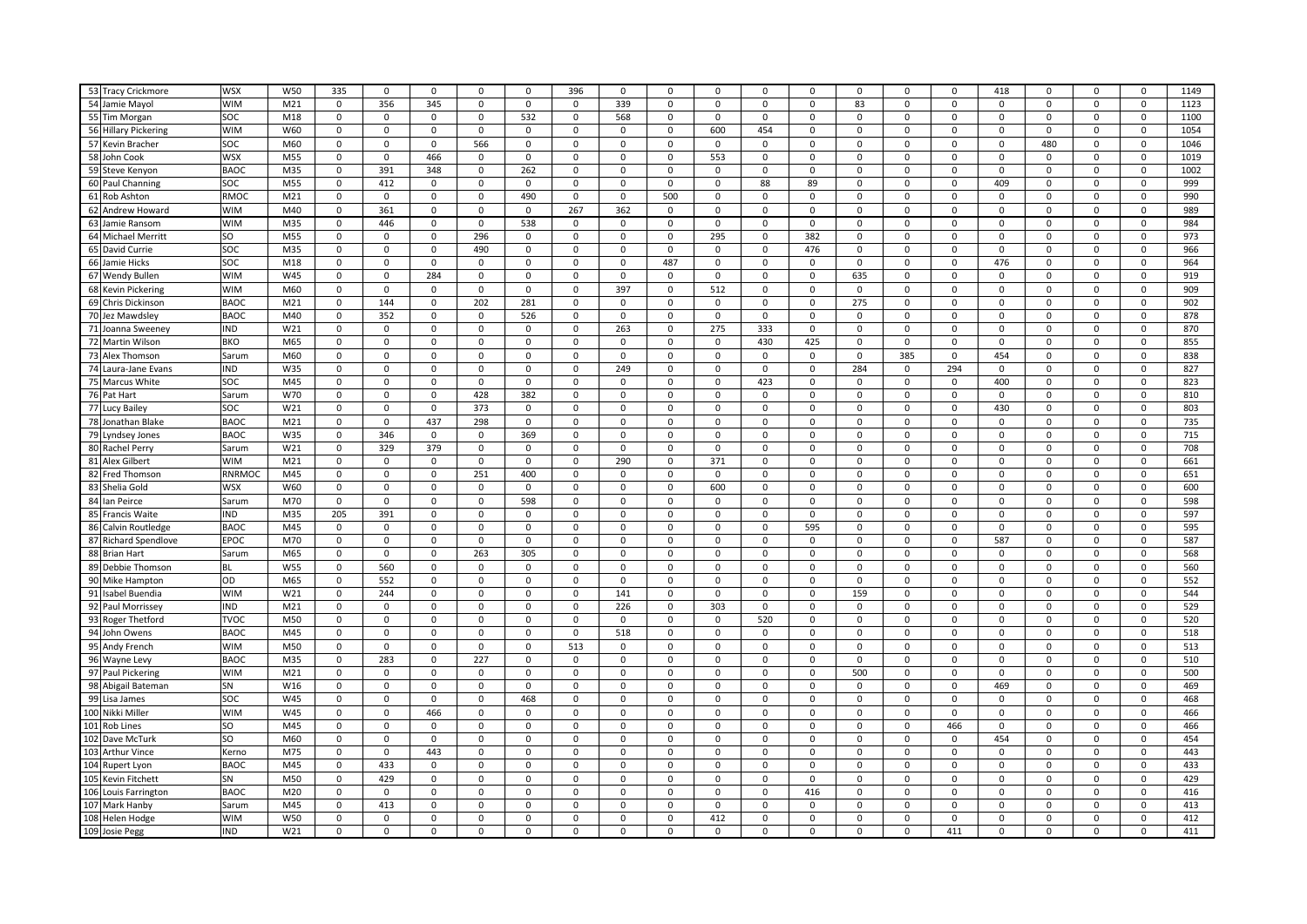| 53 Tracy Crickmore<br>54 Jamie Mayol | <b>WSX</b><br><b>WIM</b> | <b>W50</b><br>M21 | 335<br>0    | 0<br>356    | $\mathbf 0$<br>345 | $\mathbf 0$<br>$\mathbf 0$ | 0<br>0      | 396<br>$\mathbf 0$ | 0<br>339    | 0<br>0      | 0<br>$\mathbf 0$ | 0<br>$\Omega$ | 0<br>0       | 0<br>83      | 0<br>0      | 0<br>$\mathbf 0$ | 418<br>$\mathbf 0$ | 0<br>$\mathbf 0$ | 0<br>$\mathbf 0$ | $\mathbf 0$<br>$\mathbf 0$ | 1149<br>1123 |
|--------------------------------------|--------------------------|-------------------|-------------|-------------|--------------------|----------------------------|-------------|--------------------|-------------|-------------|------------------|---------------|--------------|--------------|-------------|------------------|--------------------|------------------|------------------|----------------------------|--------------|
|                                      |                          |                   |             |             |                    |                            |             |                    |             |             |                  |               |              |              |             |                  |                    |                  |                  |                            |              |
| 55 Tim Morgan                        | SOC                      | M18               | $\mathsf 0$ | $\mathbf 0$ | $\mathbf 0$        | $\mathbf 0$                | 532         | $\mathbf 0$        | 568         | 0           | $\mathbf 0$      | $\mathbf 0$   | $\mathbf{0}$ | 0            | 0           | $\Omega$         | $\mathbf 0$        | $\mathbf 0$      | $\mathbf 0$      | $\mathbf 0$                | 1100         |
| 56 Hillary Pickering                 | <b>WIM</b>               | W60               | 0           | $\mathbf 0$ | $\mathbf 0$        | $\mathbf 0$                | 0           | $\Omega$           | 0           | 0           | 600              | 454           | $\mathsf{O}$ | 0            | 0           | $\Omega$         | $\mathsf 0$        | 0                | $\pmb{0}$        | $\mathsf 0$                | 1054         |
| 57 Kevin Bracher                     | SOC                      | M60               | $\mathbf 0$ | $\mathbf 0$ | $\mathbf 0$        | 566                        | 0           | 0                  | $\mathsf 0$ | 0           | $\mathbf 0$      | $\mathbf 0$   | $\mathsf 0$  | 0            | 0           | $\mathsf 0$      | $\mathsf 0$        | 480              | $\mathsf 0$      | $\mathsf 0$                | 1046         |
| 58 John Cook                         | <b>WSX</b>               | M55               | 0           | 0           | 466                | 0                          | 0           | 0                  | 0           | 0           | 553              | 0             | 0            | 0            | 0           | 0                | 0                  | 0                | 0                | $\mathbf 0$                | 1019         |
| 59 Steve Kenyon                      | <b>BAOC</b>              | M35               | $\mathbf 0$ | 391         | 348                | $\mathbf 0$                | 262         | $\mathbf 0$        | 0           | 0           | 0                | 0             | 0            | 0            | 0           | 0                | 0                  | 0                | 0                | 0                          | 1002         |
| 60 Paul Channing                     | SOC                      | M55               | 0           | 412         | $\mathbf 0$        | $\mathbf 0$                | 0           | 0                  | 0           | 0           | $\mathbf 0$      | 88            | 89           | 0            | 0           | 0                | 409                | 0                | $\mathbf 0$      | $\mathsf 0$                | 999          |
| 61 Rob Ashton                        | <b>RMOC</b>              | M21               | 0           | $\mathbf 0$ | $\mathbf 0$        | $\mathbf 0$                | 490         | $\mathbf 0$        | $\mathbf 0$ | 500         | $\mathbf 0$      | $\Omega$      | 0            | 0            | 0           | $\Omega$         | 0                  | $\mathbf 0$      | $\mathbf 0$      | $\mathbf 0$                | 990          |
| 62 Andrew Howard                     | <b>WIM</b>               | M40               | $\mathsf 0$ | 361         | $\mathbf 0$        | $\overline{0}$             | $\mathbf 0$ | 267                | 362         | 0           | $\pmb{0}$        | $\mathbf 0$   | $\mathsf 0$  | 0            | $\mathbf 0$ | $\mathbf 0$      | $\mathbf 0$        | $\mathbf 0$      | $\mathbf 0$      | $\mathbf 0$                | 989          |
| 63 Jamie Ransom                      | <b>WIM</b>               | M35               | $\mathsf 0$ | 446         | $\mathbf 0$        | $\mathbf 0$                | 538         | $\mathbf 0$        | 0           | 0           | $\mathsf 0$      | $\mathbf 0$   | $\mathsf{O}$ | 0            | 0           | $\mathsf 0$      | $\mathsf 0$        | $\mathsf 0$      | $\pmb{0}$        | $\mathsf 0$                | 984          |
| 64 Michael Merritt                   | SO                       | M55               | $\mathsf 0$ | $\mathbf 0$ | $\mathbf 0$        | 296                        | 0           | $\mathsf 0$        | $\mathsf 0$ | $\mathsf 0$ | 295              | $\mathsf 0$   | 382          | 0            | 0           | $\mathsf 0$      | $\pmb{0}$          | $\mathsf 0$      | $\mathsf 0$      | $\mathbf 0$                | 973          |
| 65 David Currie                      | SOC                      | M35               | 0           | 0           | $\mathbf 0$        | 490                        | 0           | 0                  | 0           | 0           | 0                | $\mathsf{O}$  | 476          | 0            | 0           | 0                | 0                  | 0                | 0                | 0                          | 966          |
| 66 Jamie Hicks                       | SOC                      | M18               | $\Omega$    | 0           | 0                  | $\mathbf 0$                | $\Omega$    | $\Omega$           | $\Omega$    | 487         | $\Omega$         | 0             | 0            | 0            | 0           | 0                | 476                | 0                | 0                | $\mathbf 0$                | 964          |
| 67 Wendy Bullen                      | <b>WIM</b>               | W45               | $\mathbf 0$ | $\mathbf 0$ | 284                | $\overline{0}$             | 0           | $\mathbf 0$        | $\mathbf 0$ | 0           | $\mathbf 0$      | $\Omega$      | $\mathbf 0$  | 635          | 0           | $\mathbf 0$      | $^{\circ}$         | $\mathbf 0$      | $\mathbf 0$      | $\mathbf 0$                | 919          |
| 68 Kevin Pickering                   | <b>WIM</b>               | M60               | $\mathsf 0$ | $\mathbf 0$ | $\Omega$           | $\mathbf 0$                | $\Omega$    | $\mathbf 0$        | 397         | 0           | 512              | $\Omega$      | 0            | $\mathbf 0$  | 0           | $\Omega$         | 0                  | $\mathbf 0$      | $\mathbf 0$      | $\mathbf 0$                | 909          |
| 69 Chris Dickinson                   | <b>BAOC</b>              | M <sub>21</sub>   | $\mathsf 0$ | 144         | $\mathbf 0$        | 202                        | 281         | $\mathbf 0$        | $\mathbf 0$ | 0           | $\mathbf 0$      | 0             | $\mathsf 0$  | 275          | 0           | $\mathbf 0$      | $\pmb{0}$          | 0                | $\mathbf 0$      | $\mathbf 0$                | 902          |
| 70 Jez Mawdsley                      | <b>BAOC</b>              | M40               | $\mathsf 0$ | 352         | $\pmb{0}$          | $\mathsf 0$                | 526         | 0                  | $\mathbf 0$ | $\mathsf 0$ | $\mathsf 0$      | $\mathbf 0$   | $\mathbf 0$  | 0            | 0           | $\mathsf 0$      | $\pmb{0}$          | $\mathsf 0$      | $\pmb{0}$        | $\mathsf 0$                | 878          |
| 71 Joanna Sweeney                    | <b>IND</b>               | W21               | 0           | $\mathbf 0$ | $\mathbf 0$        | $\mathbf 0$                | 0           | 0                  | 263         | 0           | 275              | 333           | 0            | 0            | 0           | 0                | 0                  | 0                | $\mathbf 0$      | 0                          | 870          |
| 72 Martin Wilson                     | <b>BKO</b>               | M65               | 0           | 0           | $\mathbf 0$        | 0                          | 0           | 0                  | 0           | 0           | 0                | 430           | 425          | 0            | 0           | 0                | 0                  | 0                | 0                | 0                          | 855          |
| 73 Alex Thomson                      | Sarum                    | M60               | $\Omega$    | $\Omega$    | 0                  | $\mathbf 0$                | $\Omega$    | $\Omega$           | $\Omega$    | 0           | $\Omega$         | 0             | 0            | $\mathbf 0$  | 385         | 0                | 454                | 0                | 0                | $\mathbf 0$                | 838          |
| 74 Laura-Jane Evans                  | <b>IND</b>               | W35               | $\mathbf 0$ | $\mathbf 0$ | $\mathbf 0$        | $\mathbf 0$                | 0           | $\mathbf 0$        | 249         | 0           | $\mathbf 0$      | $\Omega$      | $\mathbf 0$  | 284          | 0           | 294              | $^{\circ}$         | $\mathbf 0$      | $\mathbf 0$      | $\mathbf 0$                | 827          |
| 75 Marcus White                      | SOC                      | M45               | $\mathsf 0$ | $\mathbf 0$ | $\mathbf 0$        | $\mathbf 0$                | 0           | $\mathbf 0$        | $\mathbf 0$ | 0           | $\mathbf 0$      | 423           | $\mathbf 0$  | 0            | 0           | 0                | 400                | 0                | $\mathbf 0$      | 0                          | 823          |
| 76 Pat Hart                          | Sarum                    | W70               | $\mathsf 0$ | $\mathbf 0$ | $\mathbf 0$        | 428                        | 382         | $\mathbf 0$        | $\mathbf 0$ | 0           | $\mathbf 0$      | 0             | $\mathsf 0$  | 0            | 0           | $\mathbf 0$      | $^{\circ}$         | 0                | $\mathsf 0$      | $\mathbf 0$                | 810          |
| 77 Lucy Bailey                       | SOC                      | W21               | 0           | $\mathbf 0$ | $\mathbf 0$        | 373                        | 0           | $\mathbf 0$        | $\mathbf 0$ | 0           | $\mathbf 0$      | 0             | 0            | 0            | 0           | 0                | 430                | 0                | $\mathbf 0$      | 0                          | 803          |
| 78 Jonathan Blake                    | <b>BAOC</b>              | M21               | $\mathbf 0$ | 0           | 437                | 298                        | 0           | 0                  | 0           | 0           | 0                | 0             | 0            | 0            | 0           | 0                | 0                  | 0                | $\mathbf 0$      | $\mathsf 0$                | 735          |
| 79 Lyndsey Jones                     | <b>BAOC</b>              | W35               | 0           | 346         | $\mathbf 0$        | $\mathbf 0$                | 369         | 0                  | 0           | 0           | 0                | 0             | 0            | 0            | 0           | 0                | $\mathbf 0$        | 0                | 0                | 0                          | 715          |
| 80 Rachel Perry                      | Sarum                    | W21               | $\Omega$    | 329         | 379                | $\mathbf 0$                | $\Omega$    | $\Omega$           | $\Omega$    | 0           | $\mathbf 0$      | $\Omega$      | 0            | $\Omega$     | 0           | $\Omega$         | $\Omega$           | $\mathbf 0$      | 0                | $\mathbf 0$                | 708          |
| 81 Alex Gilbert                      | <b>WIM</b>               | M21               | 0           | $\mathbf 0$ | $\mathbf 0$        | $\mathbf 0$                | 0           | 0                  | 290         | 0           | 371              | $\Omega$      | 0            | 0            | 0           | $\Omega$         | $\pmb{0}$          | 0                | $\mathbf 0$      | $\mathsf 0$                | 661          |
| 82 Fred Thomson                      | RNRMOC                   | M45               | 0           | $\mathbf 0$ | $\mathbf 0$        | 251                        | 400         | $\mathbf 0$        | $\Omega$    | 0           | $\mathbf 0$      | 0             | $\mathbf 0$  | 0            | 0           | 0                | $\mathbf 0$        | 0                | $\mathbf 0$      | $\mathsf 0$                | 651          |
| 83 Shelia Gold                       | <b>WSX</b>               | W60               | $\mathsf 0$ | 0           | $\mathbf 0$        | 0                          | 0           | 0                  | $^{\circ}$  | 0           | 600              | 0             | $\mathsf 0$  | 0            | 0           | $\mathbf 0$      | $\pmb{0}$          | 0                | $\mathsf 0$      | $\mathbf 0$                | 600          |
| 84 Ian Peirce                        | Sarum                    | M70               | $\mathbf 0$ | $\mathbf 0$ | $\mathbf 0$        | $\mathbf 0$                | 598         | $\mathbf 0$        | $\mathbf 0$ | 0           | $\mathbf 0$      | 0             | 0            | 0            | 0           | 0                | $\mathbf 0$        | 0                | $\mathbf 0$      | 0                          | 598          |
| 85 Francis Waite                     | <b>IND</b>               | M35               | 205         | 391         | $\mathbf 0$        | $\mathbf 0$                | 0           |                    | $\mathbf 0$ |             |                  | 0             | 0            | 0            | 0           | 0                | 0                  | $\mathbf 0$      | $\mathbf 0$      | $\mathsf 0$                | 597          |
|                                      | <b>BAOC</b>              |                   |             |             |                    |                            |             | 0                  | $\Omega$    | 0           | 0                | $\Omega$      | 595          |              |             |                  |                    |                  |                  |                            | 595          |
| 86 Calvin Routledge                  | <b>EPOC</b>              | M45<br>M70        | 0           | $\mathbf 0$ | $\mathbf 0$        | $\mathbf 0$<br>$\Omega$    | 0           | $\mathbf 0$        |             | 0           | $\mathbf 0$      | $\Omega$      |              | $\mathbf{0}$ | 0           | $\mathbf 0$      | $^{\circ}$         | $\mathbf 0$      | $\mathbf 0$      | $\mathbf 0$                |              |
| 87 Richard Spendlove                 |                          |                   | $\Omega$    | $\Omega$    | $\mathbf 0$        |                            | $\Omega$    | $\Omega$           | $\Omega$    | 0           | $\Omega$         |               | 0            | $\mathbf{0}$ | 0           | $\Omega$         | 587                | $\mathbf 0$      | 0                | $\mathbf 0$                | 587          |
| 88 Brian Hart                        | Sarum                    | M65               | $\mathsf 0$ | $\mathbf 0$ | $\mathbf 0$        | 263                        | 305         | 0                  | 0           | 0           | $\mathbf 0$      | 0             | 0            | 0            | 0           | 0                | $\pmb{0}$          | 0                | $\mathsf 0$      | $\mathsf 0$                | 568          |
| 89 Debbie Thomson                    | BL                       | <b>W55</b>        | 0           | 560         | 0                  | 0                          | 0           | 0                  | $^{\circ}$  | 0           | 0                | 0             | $\mathbf 0$  | 0            | 0           | 0                | 0                  | $\mathbf 0$      | 0                | $\mathbf 0$                | 560          |
| 90 Mike Hampton                      | OD                       | M65               | 0           | 552         | $\mathbf 0$        | $\mathbf 0$                | 0           | $\mathbf 0$        | $\mathbf 0$ | 0           | $\mathbf 0$      | 0             | 0            | 0            | 0           | $\mathbf 0$      | $\mathbf 0$        | 0                | $\mathbf 0$      | $\mathbf 0$                | 552          |
| 91 Isabel Buendia                    | <b>WIM</b>               | W21               | 0           | 244         | $\mathbf 0$        | $\mathbf 0$                | 0           | $\mathbf 0$        | 141         | 0           | $\mathbf 0$      | 0             | 0            | 159          | 0           | 0                | $\mathbf 0$        | 0                | $\mathbf 0$      | 0                          | 544          |
| 92 Paul Morrissey                    | <b>IND</b>               | M21               | 0           | $\mathbf 0$ | $\mathbf 0$        | $\mathbf 0$                | 0           | 0                  | 226         | 0           | 303              | 0             | 0            | 0            | 0           | 0                | 0                  | 0                | $\mathbf 0$      | $\mathsf 0$                | 529          |
| 93 Roger Thetford                    | TVO <sub>C</sub>         | M50               | $\mathbf 0$ | $\mathbf 0$ | $\mathbf 0$        | $\mathbf 0$                | 0           | 0                  | $\mathbf 0$ | 0           | $\mathbf 0$      | 520           | 0            | 0            | 0           | $\mathbf 0$      | $\mathbf 0$        | $\mathbf 0$      | $\mathbf 0$      | $\mathbf 0$                | 520          |
| 94 John Owens                        | <b>BAOC</b>              | M45               | $\Omega$    | $\Omega$    | $\mathbf 0$        | $\Omega$                   | $\Omega$    | 0                  | 518         | 0           | $\mathbf 0$      | $\Omega$      | $\mathsf{O}$ | $\Omega$     | 0           | $\Omega$         | 0                  | 0                | $\mathbf 0$      | $\mathbf 0$                | 518          |
| 95 Andy French                       | <b>WIM</b>               | M50               | $\mathsf 0$ | $\mathbf 0$ | $\mathbf 0$        | $\mathsf 0$                | 0           | 513                | 0           | 0           | $\mathsf 0$      | $\mathbf 0$   | 0            | 0            | 0           | $\mathbf 0$      | $\pmb{0}$          | 0                | $\mathsf 0$      | $\mathsf 0$                | 513          |
| 96 Wayne Levy                        | <b>BAOC</b>              | M35               | 0           | 283         | 0                  | 227                        | 0           | 0                  | $^{\circ}$  | 0           | 0                | 0             | 0            | $\mathbf{0}$ | 0           | 0                | 0                  | 0                | 0                | 0                          | 510          |
| 97 Paul Pickering                    | <b>WIM</b>               | M21               | 0           | $\mathbf 0$ | $\mathbf 0$        | $\mathbf 0$                | 0           | $\mathbf 0$        | $\mathbf 0$ | 0           | $\mathbf 0$      | 0             | 0            | 500          | 0           | $\mathbf 0$      | $\mathbf 0$        | 0                | $\mathbf 0$      | $\mathbf 0$                | 500          |
| 98 Abigail Bateman                   | SN                       | W16               | $\mathbf 0$ | $\mathbf 0$ | $\mathbf 0$        | $\mathbf 0$                | 0           | $\mathbf 0$        | $\mathbf 0$ | $\mathbf 0$ | $\mathbf 0$      | 0             | 0            | 0            | 0           | $\mathbf 0$      | 469                | $\mathbf 0$      | $\mathbf 0$      | 0                          | 469          |
| 99 Lisa James                        | SOC                      | W45               | $\mathsf 0$ | $\mathsf 0$ | $\mathbf 0$        | $\mathsf 0$                | 468         | 0                  | $\pmb{0}$   | 0           | $\pmb{0}$        | 0             | $\mathsf 0$  | 0            | 0           | 0                | $\mathbf 0$        | $\pmb{0}$        | $\mathsf 0$      | $\mathsf 0$                | 468          |
| 100 Nikki Miller                     | <b>WIM</b>               | W45               | 0           | $\mathbf 0$ | 466                | $\mathbf 0$                | 0           | 0                  | $\mathbf 0$ | 0           | $\mathbf 0$      | 0             | 0            | 0            | 0           | 0                | $\mathbf 0$        | 0                | $\mathbf 0$      | $\mathsf 0$                | 466          |
| 101 Rob Lines                        | SO                       | M45               | $\mathbf 0$ | 0           | $\mathbf 0$        | $\mathbf 0$                | 0           | $\mathbf 0$        | 0           | 0           | 0                | $\mathbf 0$   | $\mathsf{O}$ | 0            | 0           | 466              | 0                  | 0                | 0                | $\mathbf 0$                | 466          |
| 102 Dave McTurk                      | SO                       | M60               | 0           | $\mathbf 0$ | $\mathbf 0$        | 0                          | 0           | 0                  | 0           | 0           | 0                | 0             | 0            | 0            | 0           | 0                | 454                | 0                | $\mathbf 0$      | 0                          | 454          |
| 103 Arthur Vince                     | Kerno                    | M75               | 0           | 0           | 443                | $\mathbf 0$                | 0           | 0                  | $\mathbf 0$ | 0           | $\mathbf 0$      | $\Omega$      | 0            | $\mathbf 0$  | 0           | 0                | $^{\circ}$         | $\mathbf 0$      | 0                | 0                          | 443          |
| 104 Rupert Lyon                      | <b>BAOC</b>              | M45               | 0           | 433         | $\mathbf 0$        | $\mathbf 0$                | $\Omega$    | $\Omega$           | $\mathbf 0$ | 0           | $\mathbf 0$      | $\mathbf 0$   | 0            | $\Omega$     | 0           | $\mathbf 0$      | $\mathbf 0$        | $\mathbf 0$      | $\mathbf 0$      | $\mathbf 0$                | 433          |
| 105 Kevin Fitchett                   | SN                       | M50               | $\mathbf 0$ | 429         | $\mathbf 0$        | $\Omega$                   | 0           | $\Omega$           | $\mathbf 0$ | 0           | $\mathbf 0$      | $\Omega$      | $\mathbf 0$  | 0            | 0           | $\mathbf 0$      | $\mathbf 0$        | $\mathbf 0$      | $\mathbf 0$      | $\mathsf 0$                | 429          |
| 106 Louis Farrington                 | <b>BAOC</b>              | M20               | $\mathbf 0$ | $\mathbf 0$ | $\mathbf 0$        | $\overline{0}$             | 0           | 0                  | $\Omega$    | 0           | $\pmb{0}$        | $\mathsf 0$   | 416          | 0            | 0           | $\Omega$         | $\Omega$           | $\Omega$         | $\mathsf 0$      | $\mathbf 0$                | 416          |
| 107 Mark Hanby                       | Sarum                    | M45               | 0           | 413         | $\mathbf 0$        | $\mathbf 0$                | 0           | 0                  | $\mathbf 0$ | 0           | $\mathbf 0$      | 0             | 0            | 0            | 0           | 0                | $\mathbf 0$        | 0                | $\mathbf 0$      | $\mathbf 0$                | 413          |
| 108 Helen Hodge                      | <b>WIM</b>               | <b>W50</b>        | $\mathbf 0$ | 0           | $\mathbf 0$        | $\mathbf 0$                | $\Omega$    | $\Omega$           | $\Omega$    | 0           | 412              | 0             | 0            | 0            | 0           | 0                | 0                  | 0                | 0                | $\mathbf 0$                | 412          |
| 109 Josie Pegg                       | <b>IND</b>               |                   |             |             | $\Omega$           |                            |             |                    |             |             |                  |               |              |              |             |                  |                    |                  |                  |                            |              |
|                                      |                          | W21               | $\mathbf 0$ | $\mathbf 0$ |                    | $\mathbf 0$                | 0           | $\mathbf 0$        | $\mathbf 0$ | 0           | $\mathbf 0$      | $\mathsf{O}$  | $\mathbf 0$  | 0            | 0           | 411              | $\mathbf 0$        | $\mathbf 0$      | $\mathbf 0$      | $\mathbf 0$                | 411          |